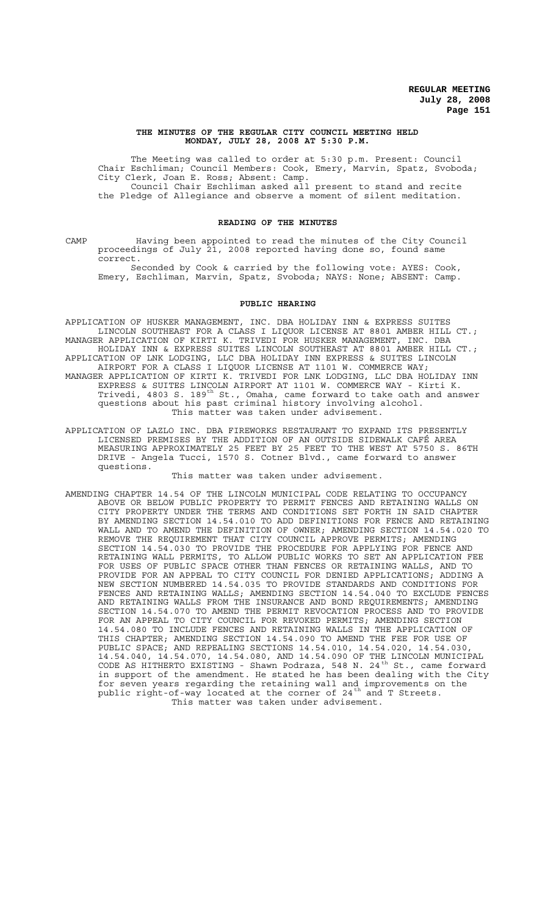#### **THE MINUTES OF THE REGULAR CITY COUNCIL MEETING HELD MONDAY, JULY 28, 2008 AT 5:30 P.M.**

The Meeting was called to order at 5:30 p.m. Present: Council Chair Eschliman; Council Members: Cook, Emery, Marvin, Spatz, Svoboda; City Clerk, Joan E. Ross; Absent: Camp. Council Chair Eschliman asked all present to stand and recite the Pledge of Allegiance and observe a moment of silent meditation.

### **READING OF THE MINUTES**

CAMP Having been appointed to read the minutes of the City Council proceedings of July 21, 2008 reported having done so, found same correct.

Seconded by Cook & carried by the following vote: AYES: Cook, Emery, Eschliman, Marvin, Spatz, Svoboda; NAYS: None; ABSENT: Camp.

### **PUBLIC HEARING**

APPLICATION OF HUSKER MANAGEMENT, INC. DBA HOLIDAY INN & EXPRESS SUITES LINCOLN SOUTHEAST FOR A CLASS I LIQUOR LICENSE AT 8801 AMBER HILL CT.; MANAGER APPLICATION OF KIRTI K. TRIVEDI FOR HUSKER MANAGEMENT, INC. DBA HOLIDAY INN & EXPRESS SUITES LINCOLN SOUTHEAST AT 8801 AMBER HILL CT.; APPLICATION OF LNK LODGING, LLC DBA HOLIDAY INN EXPRESS & SUITES LINCOLN AIRPORT FOR A CLASS I LIQUOR LICENSE AT 1101 W. COMMERCE WAY; MANAGER APPLICATION OF KIRTI K. TRIVEDI FOR LNK LODGING, LLC DBA HOLIDAY INN EXPRESS & SUITES LINCOLN AIRPORT AT 1101 W. COMMERCE WAY - Kirti K.

- Trivedi, 4803 S. 189<sup>th</sup> St., Omaha, came forward to take oath and answer questions about his past criminal history involving alcohol. This matter was taken under advisement.
- APPLICATION OF LAZLO INC. DBA FIREWORKS RESTAURANT TO EXPAND ITS PRESENTLY LICENSED PREMISES BY THE ADDITION OF AN OUTSIDE SIDEWALK CAFÉ AREA MEASURING APPROXIMATELY 25 FEET BY 25 FEET TO THE WEST AT 5750 S. 86TH DRIVE - Angela Tucci, 1570 S. Cotner Blvd., came forward to answer questions.

This matter was taken under advisement.

AMENDING CHAPTER 14.54 OF THE LINCOLN MUNICIPAL CODE RELATING TO OCCUPANCY ABOVE OR BELOW PUBLIC PROPERTY TO PERMIT FENCES AND RETAINING WALLS ON CITY PROPERTY UNDER THE TERMS AND CONDITIONS SET FORTH IN SAID CHAPTER BY AMENDING SECTION 14.54.010 TO ADD DEFINITIONS FOR FENCE AND RETAINING WALL AND TO AMEND THE DEFINITION OF OWNER; AMENDING SECTION 14.54.020 TO REMOVE THE REQUIREMENT THAT CITY COUNCIL APPROVE PERMITS; AMENDING SECTION 14.54.030 TO PROVIDE THE PROCEDURE FOR APPLYING FOR FENCE AND RETAINING WALL PERMITS, TO ALLOW PUBLIC WORKS TO SET AN APPLICATION FEE FOR USES OF PUBLIC SPACE OTHER THAN FENCES OR RETAINING WALLS, AND TO PROVIDE FOR AN APPEAL TO CITY COUNCIL FOR DENIED APPLICATIONS; ADDING A NEW SECTION NUMBERED 14.54.035 TO PROVIDE STANDARDS AND CONDITIONS FOR FENCES AND RETAINING WALLS; AMENDING SECTION 14.54.040 TO EXCLUDE FENCES AND RETAINING WALLS FROM THE INSURANCE AND BOND REQUIREMENTS; AMENDING SECTION 14.54.070 TO AMEND THE PERMIT REVOCATION PROCESS AND TO PROVIDE FOR AN APPEAL TO CITY COUNCIL FOR REVOKED PERMITS; AMENDING SECTION 14.54.080 TO INCLUDE FENCES AND RETAINING WALLS IN THE APPLICATION OF THIS CHAPTER; AMENDING SECTION 14.54.090 TO AMEND THE FEE FOR USE OF PUBLIC SPACE; AND REPEALING SECTIONS 14.54.010, 14.54.020, 14.54.030, 14.54.040, 14.54.070, 14.54.080, AND 14.54.090 OF THE LINCOLN MUNICIPAL CODE AS HITHERTO EXISTING - Shawn Podraza, 548 N. 24<sup>th</sup> St., came forward in support of the amendment. He stated he has been dealing with the City for seven years regarding the retaining wall and improvements on the public right-of-way located at the corner of 24<sup>th</sup> and T Streets. This matter was taken under advisement.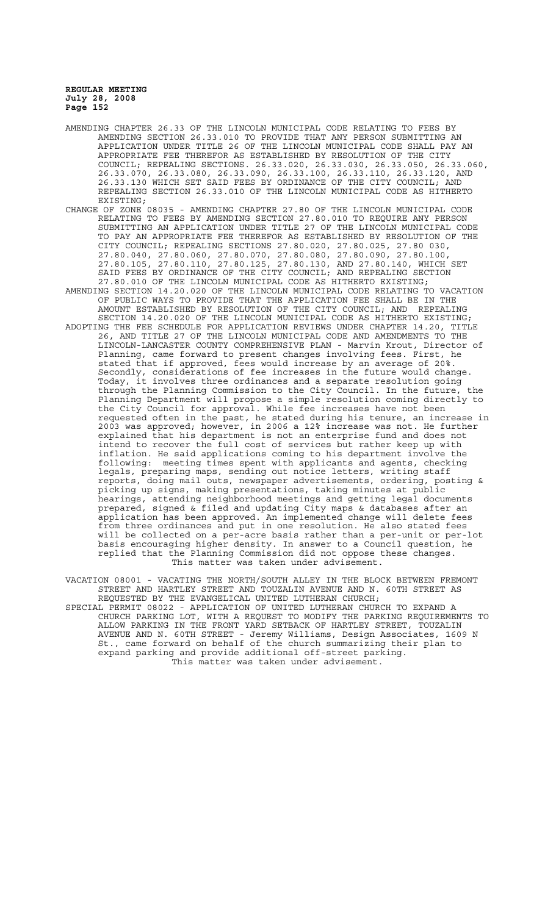- AMENDING CHAPTER 26.33 OF THE LINCOLN MUNICIPAL CODE RELATING TO FEES BY AMENDING SECTION 26.33.010 TO PROVIDE THAT ANY PERSON SUBMITTING AN APPLICATION UNDER TITLE 26 OF THE LINCOLN MUNICIPAL CODE SHALL PAY AN APPROPRIATE FEE THEREFOR AS ESTABLISHED BY RESOLUTION OF THE CITY COUNCIL; REPEALING SECTIONS. 26.33.020, 26.33.030, 26.33.050, 26.33.060, 26.33.070, 26.33.080, 26.33.090, 26.33.100, 26.33.110, 26.33.120, AND 26.33.130 WHICH SET SAID FEES BY ORDINANCE OF THE CITY COUNCIL; AND REPEALING SECTION 26.33.010 OF THE LINCOLN MUNICIPAL CODE AS HITHERTO EXISTING;
- CHANGE OF ZONE 08035 AMENDING CHAPTER 27.80 OF THE LINCOLN MUNICIPAL CODE RELATING TO FEES BY AMENDING SECTION 27.80.010 TO REQUIRE ANY PERSON SUBMITTING AN APPLICATION UNDER TITLE 27 OF THE LINCOLN MUNICIPAL CODE TO PAY AN APPROPRIATE FEE THEREFOR AS ESTABLISHED BY RESOLUTION OF THE CITY COUNCIL; REPEALING SECTIONS 27.80.020, 27.80.025, 27.80 030, 27.80.040, 27.80.060, 27.80.070, 27.80.080, 27.80.090, 27.80.100, 27.80.105, 27.80.110, 27.80.125, 27.80.130, AND 27.80.140, WHICH SET SAID FEES BY ORDINANCE OF THE CITY COUNCIL; AND REPEALING SECTION
- 27.80.010 OF THE LINCOLN MUNICIPAL CODE AS HITHERTO EXISTING; AMENDING SECTION 14.20.020 OF THE LINCOLN MUNICIPAL CODE RELATING TO VACATION OF PUBLIC WAYS TO PROVIDE THAT THE APPLICATION FEE SHALL BE IN THE AMOUNT ESTABLISHED BY RESOLUTION OF THE CITY COUNCIL; AND REPEALING SECTION 14.20.020 OF THE LINCOLN MUNICIPAL CODE AS HITHERTO EXISTING; ADOPTING THE FEE SCHEDULE FOR APPLICATION REVIEWS UNDER CHAPTER 14.20, TITLE 26, AND TITLE 27 OF THE LINCOLN MUNICIPAL CODE AND AMENDMENTS TO THE
- LINCOLN-LANCASTER COUNTY COMPREHENSIVE PLAN Marvin Krout, Director of Planning, came forward to present changes involving fees. First, he stated that if approved, fees would increase by an average of 20%. Secondly, considerations of fee increases in the future would change. Today, it involves three ordinances and a separate resolution going through the Planning Commission to the City Council. In the future, the Planning Department will propose a simple resolution coming directly to the City Council for approval. While fee increases have not been requested often in the past, he stated during his tenure, an increase in 2003 was approved; however, in 2006 a 12% increase was not. He further explained that his department is not an enterprise fund and does not intend to recover the full cost of services but rather keep up with inflation. He said applications coming to his department involve the following: meeting times spent with applicants and agents, checking legals, preparing maps, sending out notice letters, writing staff reports, doing mail outs, newspaper advertisements, ordering, posting & picking up signs, making presentations, taking minutes at public hearings, attending neighborhood meetings and getting legal documents prepared, signed & filed and updating City maps & databases after an application has been approved. An implemented change will delete fees from three ordinances and put in one resolution. He also stated fees will be collected on a per-acre basis rather than a per-unit or per-lot basis encouraging higher density. In answer to a Council question, he replied that the Planning Commission did not oppose these changes. This matter was taken under advisement.
- VACATION 08001 VACATING THE NORTH/SOUTH ALLEY IN THE BLOCK BETWEEN FREMONT STREET AND HARTLEY STREET AND TOUZALIN AVENUE AND N. 60TH STREET AS REQUESTED BY THE EVANGELICAL UNITED LUTHERAN CHURCH;
- SPECIAL PERMIT 08022 APPLICATION OF UNITED LUTHERAN CHURCH TO EXPAND A CHURCH PARKING LOT, WITH A REQUEST TO MODIFY THE PARKING REQUIREMENTS TO ALLOW PARKING IN THE FRONT YARD SETBACK OF HARTLEY STREET, TOUZALIN AVENUE AND N. 60TH STREET - Jeremy Williams, Design Associates, 1609 N St., came forward on behalf of the church summarizing their plan to expand parking and provide additional off-street parking. This matter was taken under advisement.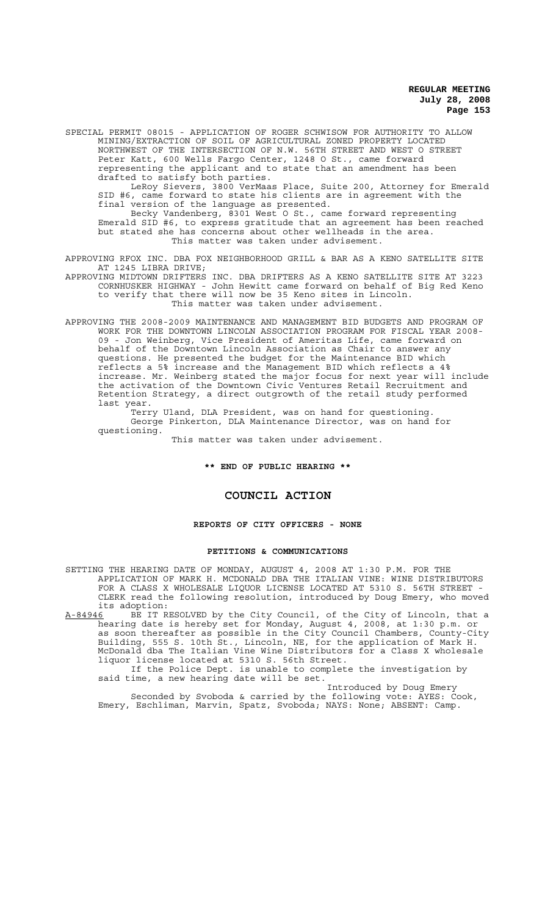SPECIAL PERMIT 08015 - APPLICATION OF ROGER SCHWISOW FOR AUTHORITY TO ALLOW MINING/EXTRACTION OF SOIL OF AGRICULTURAL ZONED PROPERTY LOCATED NORTHWEST OF THE INTERSECTION OF N.W. 56TH STREET AND WEST O STREET Peter Katt, 600 Wells Fargo Center, 1248 O St., came forward representing the applicant and to state that an amendment has been drafted to satisfy both parties.

LeRoy Sievers, 3800 VerMaas Place, Suite 200, Attorney for Emerald SID #6, came forward to state his clients are in agreement with the final version of the language as presented.

Becky Vandenberg, 8301 West O St., came forward representing Emerald SID #6, to express gratitude that an agreement has been reached but stated she has concerns about other wellheads in the area. This matter was taken under advisement.

APPROVING RFOX INC. DBA FOX NEIGHBORHOOD GRILL & BAR AS A KENO SATELLITE SITE AT 1245 LIBRA DRIVE;

APPROVING MIDTOWN DRIFTERS INC. DBA DRIFTERS AS A KENO SATELLITE SITE AT 3223 CORNHUSKER HIGHWAY - John Hewitt came forward on behalf of Big Red Keno to verify that there will now be 35 Keno sites in Lincoln. This matter was taken under advisement.

APPROVING THE 2008-2009 MAINTENANCE AND MANAGEMENT BID BUDGETS AND PROGRAM OF WORK FOR THE DOWNTOWN LINCOLN ASSOCIATION PROGRAM FOR FISCAL YEAR 2008- 09 - Jon Weinberg, Vice President of Ameritas Life, came forward on behalf of the Downtown Lincoln Association as Chair to answer any questions. He presented the budget for the Maintenance BID which reflects a 5% increase and the Management BID which reflects a 4% increase. Mr. Weinberg stated the major focus for next year will include the activation of the Downtown Civic Ventures Retail Recruitment and Retention Strategy, a direct outgrowth of the retail study performed last year.

Terry Uland, DLA President, was on hand for questioning. George Pinkerton, DLA Maintenance Director, was on hand for questioning.

This matter was taken under advisement.

### **\*\* END OF PUBLIC HEARING \*\***

# **COUNCIL ACTION**

### **REPORTS OF CITY OFFICERS - NONE**

#### **PETITIONS & COMMUNICATIONS**

SETTING THE HEARING DATE OF MONDAY, AUGUST 4, 2008 AT 1:30 P.M. FOR THE APPLICATION OF MARK H. MCDONALD DBA THE ITALIAN VINE: WINE DISTRIBUTORS FOR A CLASS X WHOLESALE LIQUOR LICENSE LOCATED AT 5310 S. 56TH STREET -CLERK read the following resolution, introduced by Doug Emery, who moved its adoption:

A-84946 BE IT RESOLVED by the City Council, of the City of Lincoln, that a hearing date is hereby set for Monday, August 4, 2008, at 1:30 p.m. or as soon thereafter as possible in the City Council Chambers, County-City Building, 555 S. 10th St., Lincoln, NE, for the application of Mark H. McDonald dba The Italian Vine Wine Distributors for a Class X wholesale liquor license located at 5310 S. 56th Street.

If the Police Dept. is unable to complete the investigation by said time, a new hearing date will be set.

Introduced by Doug Emery Seconded by Svoboda & carried by the following vote: AYES: Cook, Emery, Eschliman, Marvin, Spatz, Svoboda; NAYS: None; ABSENT: Camp.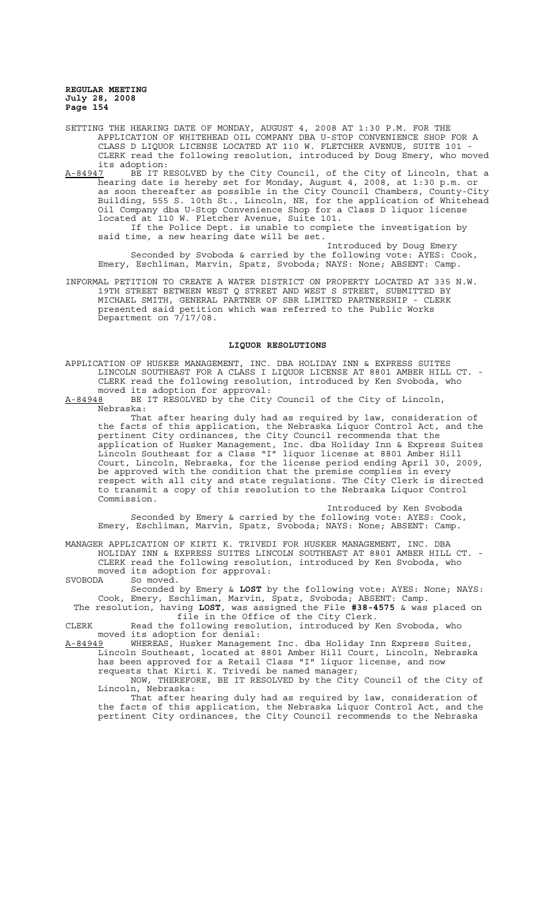SETTING THE HEARING DATE OF MONDAY, AUGUST 4, 2008 AT 1:30 P.M. FOR THE APPLICATION OF WHITEHEAD OIL COMPANY DBA U-STOP CONVENIENCE SHOP FOR A CLASS D LIQUOR LICENSE LOCATED AT 110 W. FLETCHER AVENUE, SUITE 101 - CLERK read the following resolution, introduced by Doug Emery, who moved its adoption:<br>A-84947 BE IT R

A-84947 BE IT RESOLVED by the City Council, of the City of Lincoln, that a hearing date is hereby set for Monday, August 4, 2008, at 1:30 p.m. or as soon thereafter as possible in the City Council Chambers, County-City Building, 555 S. 10th St., Lincoln, NE, for the application of Whitehead Oil Company dba U-Stop Convenience Shop for a Class D liquor license located at 110 W. Fletcher Avenue, Suite 101.

If the Police Dept. is unable to complete the investigation by said time, a new hearing date will be set.

Introduced by Doug Emery Seconded by Svoboda & carried by the following vote: AYES: Cook, Emery, Eschliman, Marvin, Spatz, Svoboda; NAYS: None; ABSENT: Camp.

INFORMAL PETITION TO CREATE A WATER DISTRICT ON PROPERTY LOCATED AT 335 N.W. 19TH STREET BETWEEN WEST Q STREET AND WEST S STREET, SUBMITTED BY MICHAEL SMITH, GENERAL PARTNER OF SBR LIMITED PARTNERSHIP - CLERK presented said petition which was referred to the Public Works Department on 7/17/08.

## **LIQUOR RESOLUTIONS**

APPLICATION OF HUSKER MANAGEMENT, INC. DBA HOLIDAY INN & EXPRESS SUITES LINCOLN SOUTHEAST FOR A CLASS I LIQUOR LICENSE AT 8801 AMBER HILL CT. - CLERK read the following resolution, introduced by Ken Svoboda, who

moved its adoption for approval:<br>A-84948 BE IT RESOLVED by the City BE IT RESOLVED by the City Council of the City of Lincoln, Nebraska:

That after hearing duly had as required by law, consideration of the facts of this application, the Nebraska Liquor Control Act, and the pertinent City ordinances, the City Council recommends that the application of Husker Management, Inc. dba Holiday Inn & Express Suites Lincoln Southeast for a Class "I" liquor license at 8801 Amber Hill Court, Lincoln, Nebraska, for the license period ending April 30, 2009, be approved with the condition that the premise complies in every respect with all city and state regulations. The City Clerk is directed to transmit a copy of this resolution to the Nebraska Liquor Control Commission.

Introduced by Ken Svoboda Seconded by Emery & carried by the following vote: AYES: Cook, Emery, Eschliman, Marvin, Spatz, Svoboda; NAYS: None; ABSENT: Camp.

MANAGER APPLICATION OF KIRTI K. TRIVEDI FOR HUSKER MANAGEMENT, INC. DBA HOLIDAY INN & EXPRESS SUITES LINCOLN SOUTHEAST AT 8801 AMBER HILL CT. - CLERK read the following resolution, introduced by Ken Svoboda, who moved its adoption for approval:<br>SVOBODA So moved. SVOBODA So moved.

Seconded by Emery & **LOST** by the following vote: AYES: None; NAYS: Cook, Emery, Eschliman, Marvin, Spatz, Svoboda; ABSENT: Camp.

The resolution, having **LOST**, was assigned the File **#38-4575** & was placed on file in the Office of the City Clerk.

CLERK Read the following resolution, introduced by Ken Svoboda, who moved its adoption for denial:

A-84949 WHEREAS, Husker Management Inc. dba Holiday Inn Express Suites, Lincoln Southeast, located at 8801 Amber Hill Court, Lincoln, Nebraska has been approved for a Retail Class "I" liquor license, and now requests that Kirti K. Trivedi be named manager;

NOW, THEREFORE, BE IT RESOLVED by the City Council of the City of Lincoln, Nebraska:

That after hearing duly had as required by law, consideration of the facts of this application, the Nebraska Liquor Control Act, and the pertinent City ordinances, the City Council recommends to the Nebraska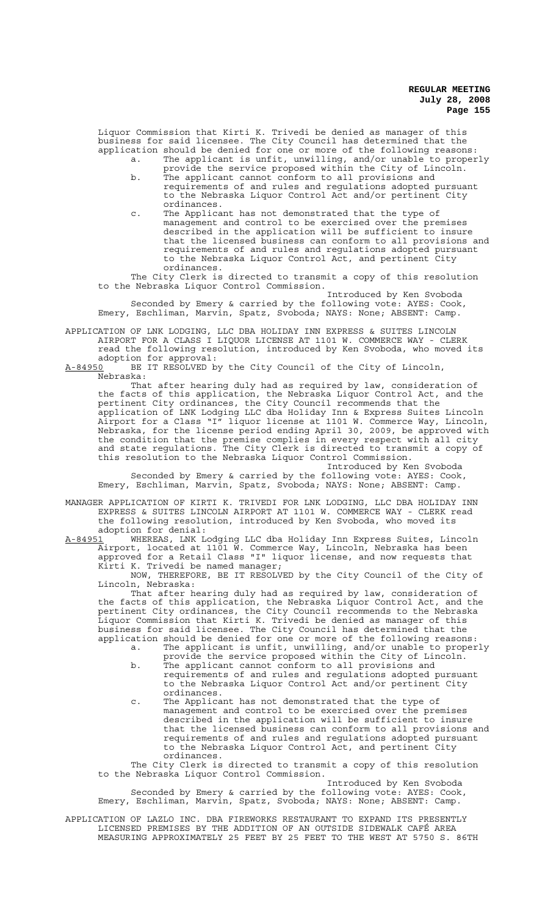Liquor Commission that Kirti K. Trivedi be denied as manager of this business for said licensee. The City Council has determined that the application should be denied for one or more of the following reasons: a. The applicant is unfit, unwilling, and/or unable to properly

- provide the service proposed within the City of Lincoln. b. The applicant cannot conform to all provisions and requirements of and rules and regulations adopted pursuant to the Nebraska Liquor Control Act and/or pertinent City ordinances.
- c. The Applicant has not demonstrated that the type of management and control to be exercised over the premises described in the application will be sufficient to insure that the licensed business can conform to all provisions and requirements of and rules and regulations adopted pursuant to the Nebraska Liquor Control Act, and pertinent City ordinances.

The City Clerk is directed to transmit a copy of this resolution to the Nebraska Liquor Control Commission.

Introduced by Ken Svoboda Seconded by Emery & carried by the following vote: AYES: Cook, Emery, Eschliman, Marvin, Spatz, Svoboda; NAYS: None; ABSENT: Camp.

APPLICATION OF LNK LODGING, LLC DBA HOLIDAY INN EXPRESS & SUITES LINCOLN AIRPORT FOR A CLASS I LIQUOR LICENSE AT 1101 W. COMMERCE WAY - CLERK read the following resolution, introduced by Ken Svoboda, who moved its adoption for approval:

A-84950 BE IT RESOLVED by the City Council of the City of Lincoln, Nebraska:

That after hearing duly had as required by law, consideration of the facts of this application, the Nebraska Liquor Control Act, and the pertinent City ordinances, the City Council recommends that the application of LNK Lodging LLC dba Holiday Inn & Express Suites Lincoln Airport for a Class "I" liquor license at 1101 W. Commerce Way, Lincoln, Nebraska, for the license period ending April 30, 2009, be approved with the condition that the premise complies in every respect with all city and state regulations. The City Clerk is directed to transmit a copy of this resolution to the Nebraska Liquor Control Commission.

Introduced by Ken Svoboda Seconded by Emery & carried by the following vote: AYES: Cook, Emery, Eschliman, Marvin, Spatz, Svoboda; NAYS: None; ABSENT: Camp.

MANAGER APPLICATION OF KIRTI K. TRIVEDI FOR LNK LODGING, LLC DBA HOLIDAY INN EXPRESS & SUITES LINCOLN AIRPORT AT 1101 W. COMMERCE WAY - CLERK read the following resolution, introduced by Ken Svoboda, who moved its adoption for denial:<br>A-84951 WHEREAS, LNK L

A-84951 WHEREAS, LNK Lodging LLC dba Holiday Inn Express Suites, Lincoln Airport, located at 1101 W. Commerce Way, Lincoln, Nebraska has been approved for a Retail Class "I" liquor license, and now requests that Kirti K. Trivedi be named manager;

NOW, THEREFORE, BE IT RESOLVED by the City Council of the City of Lincoln, Nebraska:

That after hearing duly had as required by law, consideration of the facts of this application, the Nebraska Liquor Control Act, and the pertinent City ordinances, the City Council recommends to the Nebraska Liquor Commission that Kirti K. Trivedi be denied as manager of this business for said licensee. The City Council has determined that the application should be denied for one or more of the following reasons:

- a. The applicant is unfit, unwilling, and/or unable to properly provide the service proposed within the City of Lincoln.
	- b. The applicant cannot conform to all provisions and requirements of and rules and regulations adopted pursuant to the Nebraska Liquor Control Act and/or pertinent City ordinances.
	- c. The Applicant has not demonstrated that the type of management and control to be exercised over the premises described in the application will be sufficient to insure that the licensed business can conform to all provisions and requirements of and rules and regulations adopted pursuant to the Nebraska Liquor Control Act, and pertinent City ordinances.

The City Clerk is directed to transmit a copy of this resolution to the Nebraska Liquor Control Commission.

Introduced by Ken Svoboda Seconded by Emery & carried by the following vote: AYES: Cook, Emery, Eschliman, Marvin, Spatz, Svoboda; NAYS: None; ABSENT: Camp.

APPLICATION OF LAZLO INC. DBA FIREWORKS RESTAURANT TO EXPAND ITS PRESENTLY LICENSED PREMISES BY THE ADDITION OF AN OUTSIDE SIDEWALK CAFÉ AREA MEASURING APPROXIMATELY 25 FEET BY 25 FEET TO THE WEST AT 5750 S. 86TH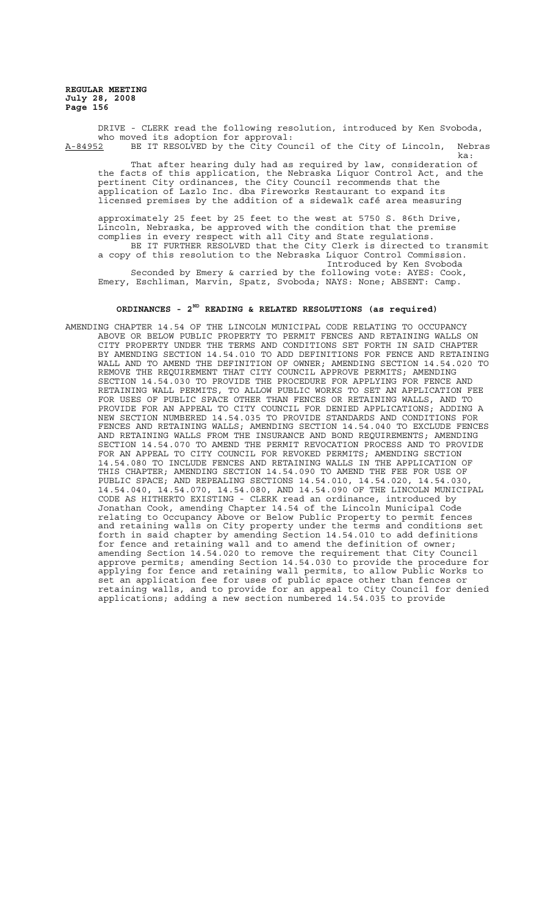DRIVE - CLERK read the following resolution, introduced by Ken Svoboda, who moved its adoption for approval:<br>A-84952 BE IT RESOLVED by the City Cour BE IT RESOLVED by the City Council of the City of Lincoln, Nebras ka:

That after hearing duly had as required by law, consideration of the facts of this application, the Nebraska Liquor Control Act, and the pertinent City ordinances, the City Council recommends that the application of Lazlo Inc. dba Fireworks Restaurant to expand its licensed premises by the addition of a sidewalk café area measuring

approximately 25 feet by 25 feet to the west at 5750 S. 86th Drive, Lincoln, Nebraska, be approved with the condition that the premise complies in every respect with all City and State regulations. BE IT FURTHER RESOLVED that the City Clerk is directed to transmit a copy of this resolution to the Nebraska Liquor Control Commission. Introduced by Ken Svoboda Seconded by Emery & carried by the following vote: AYES: Cook, Emery, Eschliman, Marvin, Spatz, Svoboda; NAYS: None; ABSENT: Camp.

# **ORDINANCES - 2ND READING & RELATED RESOLUTIONS (as required)**

AMENDING CHAPTER 14.54 OF THE LINCOLN MUNICIPAL CODE RELATING TO OCCUPANCY ABOVE OR BELOW PUBLIC PROPERTY TO PERMIT FENCES AND RETAINING WALLS ON CITY PROPERTY UNDER THE TERMS AND CONDITIONS SET FORTH IN SAID CHAPTER BY AMENDING SECTION 14.54.010 TO ADD DEFINITIONS FOR FENCE AND RETAINING WALL AND TO AMEND THE DEFINITION OF OWNER; AMENDING SECTION 14.54.020 TO REMOVE THE REQUIREMENT THAT CITY COUNCIL APPROVE PERMITS; AMENDING SECTION 14.54.030 TO PROVIDE THE PROCEDURE FOR APPLYING FOR FENCE AND RETAINING WALL PERMITS, TO ALLOW PUBLIC WORKS TO SET AN APPLICATION FEE FOR USES OF PUBLIC SPACE OTHER THAN FENCES OR RETAINING WALLS, AND TO<br>PROVIDE FOR AN APPEAL TO CITY COUNCIL FOR DENIED APPLICATIONS: ADDING A PROVIDE FOR AN APPEAL TO CITY COUNCIL FOR DENIED APPLICATIONS; ADDING A NEW SECTION NUMBERED 14.54.035 TO PROVIDE STANDARDS AND CONDITIONS FOR FENCES AND RETAINING WALLS; AMENDING SECTION 14.54.040 TO EXCLUDE FENCES AND RETAINING WALLS FROM THE INSURANCE AND BOND REQUIREMENTS; AMENDING SECTION 14.54.070 TO AMEND THE PERMIT REVOCATION PROCESS AND TO PROVIDE FOR AN APPEAL TO CITY COUNCIL FOR REVOKED PERMITS; AMENDING SECTION 14.54.080 TO INCLUDE FENCES AND RETAINING WALLS IN THE APPLICATION OF THIS CHAPTER; AMENDING SECTION 14.54.090 TO AMEND THE FEE FOR USE OF PUBLIC SPACE; AND REPEALING SECTIONS 14.54.010, 14.54.020, 14.54.030, 14.54.040, 14.54.070, 14.54.080, AND 14.54.090 OF THE LINCOLN MUNICIPAL CODE AS HITHERTO EXISTING - CLERK read an ordinance, introduced by Jonathan Cook, amending Chapter 14.54 of the Lincoln Municipal Code relating to Occupancy Above or Below Public Property to permit fences and retaining walls on City property under the terms and conditions set forth in said chapter by amending Section 14.54.010 to add definitions for fence and retaining wall and to amend the definition of owner; amending Section 14.54.020 to remove the requirement that City Council approve permits; amending Section 14.54.030 to provide the procedure for applying for fence and retaining wall permits, to allow Public Works to set an application fee for uses of public space other than fences or retaining walls, and to provide for an appeal to City Council for denied applications; adding a new section numbered 14.54.035 to provide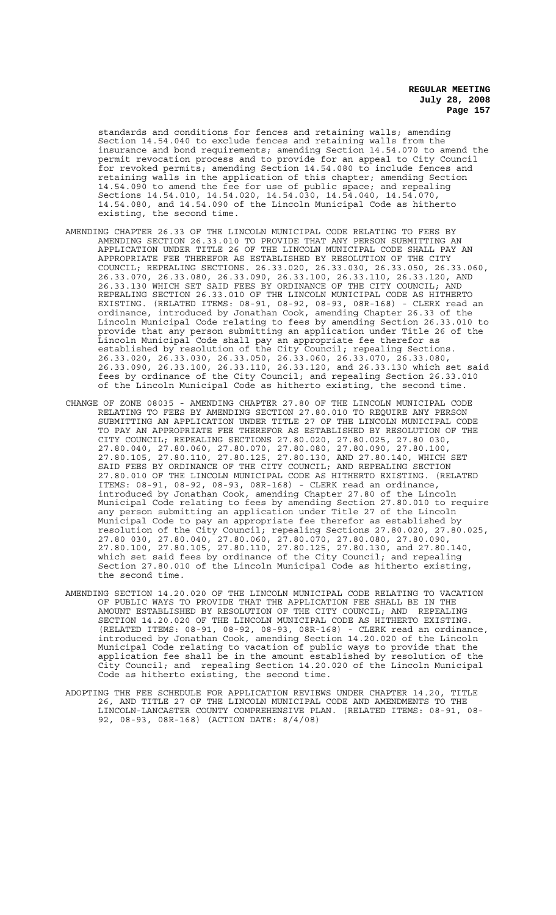standards and conditions for fences and retaining walls; amending Section 14.54.040 to exclude fences and retaining walls from the insurance and bond requirements; amending Section 14.54.070 to amend the permit revocation process and to provide for an appeal to City Council for revoked permits; amending Section 14.54.080 to include fences and retaining walls in the application of this chapter; amending Section 14.54.090 to amend the fee for use of public space; and repealing Sections 14.54.010, 14.54.020, 14.54.030, 14.54.040, 14.54.070, 14.54.080, and 14.54.090 of the Lincoln Municipal Code as hitherto existing, the second time.

- AMENDING CHAPTER 26.33 OF THE LINCOLN MUNICIPAL CODE RELATING TO FEES BY AMENDING SECTION 26.33.010 TO PROVIDE THAT ANY PERSON SUBMITTING AN APPLICATION UNDER TITLE 26 OF THE LINCOLN MUNICIPAL CODE SHALL PAY AN APPROPRIATE FEE THEREFOR AS ESTABLISHED BY RESOLUTION OF THE CITY COUNCIL; REPEALING SECTIONS. 26.33.020, 26.33.030, 26.33.050, 26.33.060, 26.33.070, 26.33.080, 26.33.090, 26.33.100, 26.33.110, 26.33.120, AND 26.33.130 WHICH SET SAID FEES BY ORDINANCE OF THE CITY COUNCIL; AND REPEALING SECTION 26.33.010 OF THE LINCOLN MUNICIPAL CODE AS HITHERTO EXISTING. (RELATED ITEMS: 08-91, 08-92, 08-93, 08R-168) - CLERK read an ordinance, introduced by Jonathan Cook, amending Chapter 26.33 of the Lincoln Municipal Code relating to fees by amending Section 26.33.010 to provide that any person submitting an application under Title 26 of the Lincoln Municipal Code shall pay an appropriate fee therefor as established by resolution of the City Council; repealing Sections. 26.33.020, 26.33.030, 26.33.050, 26.33.060, 26.33.070, 26.33.080, 26.33.090, 26.33.100, 26.33.110, 26.33.120, and 26.33.130 which set said fees by ordinance of the City Council; and repealing Section 26.33.010 of the Lincoln Municipal Code as hitherto existing, the second time.
- CHANGE OF ZONE 08035 AMENDING CHAPTER 27.80 OF THE LINCOLN MUNICIPAL CODE RELATING TO FEES BY AMENDING SECTION 27.80.010 TO REQUIRE ANY PERSON SUBMITTING AN APPLICATION UNDER TITLE 27 OF THE LINCOLN MUNICIPAL CODE TO PAY AN APPROPRIATE FEE THEREFOR AS ESTABLISHED BY RESOLUTION OF THE CITY COUNCIL; REPEALING SECTIONS 27.80.020, 27.80.025, 27.80 030, 27.80.040, 27.80.060, 27.80.070, 27.80.080, 27.80.090, 27.80.100, 27.80.105, 27.80.110, 27.80.125, 27.80.130, AND 27.80.140, WHICH SET SAID FEES BY ORDINANCE OF THE CITY COUNCIL; AND REPEALING SECTION 27.80.010 OF THE LINCOLN MUNICIPAL CODE AS HITHERTO EXISTING. (RELATED ITEMS: 08-91, 08-92, 08-93, 08R-168) - CLERK read an ordinance, introduced by Jonathan Cook, amending Chapter 27.80 of the Lincoln Municipal Code relating to fees by amending Section 27.80.010 to require any person submitting an application under Title 27 of the Lincoln Municipal Code to pay an appropriate fee therefor as established by resolution of the City Council; repealing Sections 27.80.020, 27.80.025, 27.80 030, 27.80.040, 27.80.060, 27.80.070, 27.80.080, 27.80.090, 27.80.100, 27.80.105, 27.80.110, 27.80.125, 27.80.130, and 27.80.140, which set said fees by ordinance of the City Council; and repealing Section 27.80.010 of the Lincoln Municipal Code as hitherto existing, the second time.
- AMENDING SECTION 14.20.020 OF THE LINCOLN MUNICIPAL CODE RELATING TO VACATION OF PUBLIC WAYS TO PROVIDE THAT THE APPLICATION FEE SHALL BE IN THE AMOUNT ESTABLISHED BY RESOLUTION OF THE CITY COUNCIL; AND REPEALING SECTION 14.20.020 OF THE LINCOLN MUNICIPAL CODE AS HITHERTO EXISTING. (RELATED ITEMS: 08-91, 08-92, 08-93, 08R-168) - CLERK read an ordinance, introduced by Jonathan Cook, amending Section 14.20.020 of the Lincoln Municipal Code relating to vacation of public ways to provide that the application fee shall be in the amount established by resolution of the City Council; and repealing Section 14.20.020 of the Lincoln Municipal Code as hitherto existing, the second time.
- ADOPTING THE FEE SCHEDULE FOR APPLICATION REVIEWS UNDER CHAPTER 14.20, TITLE 26, AND TITLE 27 OF THE LINCOLN MUNICIPAL CODE AND AMENDMENTS TO THE LINCOLN-LANCASTER COUNTY COMPREHENSIVE PLAN. (RELATED ITEMS: 08-91, 08- 92, 08-93, 08R-168) (ACTION DATE: 8/4/08)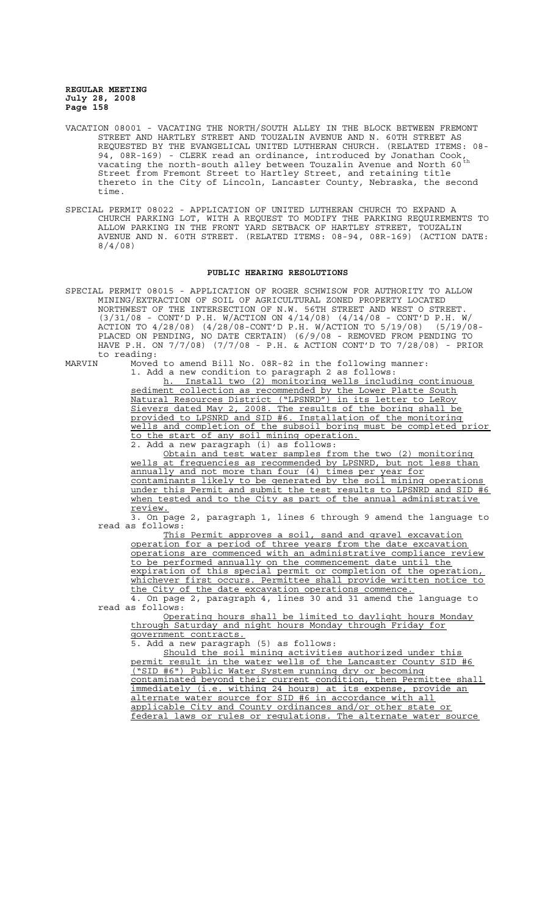- VACATION 08001 VACATING THE NORTH/SOUTH ALLEY IN THE BLOCK BETWEEN FREMONT STREET AND HARTLEY STREET AND TOUZALIN AVENUE AND N. 60TH STREET AS REQUESTED BY THE EVANGELICAL UNITED LUTHERAN CHURCH. (RELATED ITEMS: 08- 94, 08R-169) - CLERK read an ordinance, introduced by Jonathan Cook, vacating the north-south alley between Touzalin Avenue and North 60 $^{\rm th}$ Street from Fremont Street to Hartley Street, and retaining title thereto in the City of Lincoln, Lancaster County, Nebraska, the second time.
- SPECIAL PERMIT 08022 APPLICATION OF UNITED LUTHERAN CHURCH TO EXPAND A CHURCH PARKING LOT, WITH A REQUEST TO MODIFY THE PARKING REQUIREMENTS TO ALLOW PARKING IN THE FRONT YARD SETBACK OF HARTLEY STREET, TOUZALIN AVENUE AND N. 60TH STREET. (RELATED ITEMS: 08-94, 08R-169) (ACTION DATE: 8/4/08)

#### **PUBLIC HEARING RESOLUTIONS**

SPECIAL PERMIT 08015 - APPLICATION OF ROGER SCHWISOW FOR AUTHORITY TO ALLOW MINING/EXTRACTION OF SOIL OF AGRICULTURAL ZONED PROPERTY LOCATED NORTHWEST OF THE INTERSECTION OF N.W. 56TH STREET AND WEST O STREET. (3/31/08 - CONT'D P.H. W/ACTION ON 4/14/08) (4/14/08 - CONT'D P.H. W/ ACTION TO 4/28/08) (4/28/08-CONT'D P.H. W/ACTION TO 5/19/08) (5/19/08- PLACED ON PENDING, NO DATE CERTAIN) (6/9/08 - REMOVED FROM PENDING TO HAVE P.H. ON 7/7/08) (7/7/08 - P.H. & ACTION CONT'D TO 7/28/08) - PRIOR to reading:<br>MARVIN Moved

Moved to amend Bill No. 08R-82 in the following manner: 1. Add a new condition to paragraph 2 as follows:

h. Install two (2) monitoring wells including continuous h. Install two (2) monitoring wells including continuaned sediment collection as recommended by the Lower Platte South Natural Resources District ("LPSNRD") in its letter to LeRoy Sievers dated May 2, 2008. The results of the boring shall be provided to LPSNRD and SID #6. Installation of the monitoring wells and completion of the subsoil boring must be completed prior to the start of any soil mining operation.

2. Add a new paragraph (i) as follows:

Obtain and test water samples from the two (2) monitoring wells at frequencies as recommended by LPSNRD, but not less than annually and not more than four (4) times per year for contaminants likely to be generated by the soil mining operations under this Permit and submit the test results to LPSNRD and SID #6 when tested and to the City as part of the annual administrative review.

3. On page 2, paragraph 1, lines 6 through 9 amend the language to read as follows:

This Permit approves a soil, sand and gravel excavation operation for a period of three years from the date excavation operations are commenced with an administrative compliance review to be performed annually on the commencement date until the expiration of this special permit or completion of the operation, whichever first occurs. Permittee shall provide written notice to the City of the date excavation operations commence.

4. On page 2, paragraph 4, lines 30 and 31 amend the language to read as follows:

Operating hours shall be limited to daylight hours Monday through Saturday and night hours Monday through Friday for government contracts.

5. Add a new paragraph (5) as follows:

Should the soil mining activities authorized under this permit result in the water wells of the Lancaster County SID #6 ("SID #6") Public Water System running dry or becoming contaminated beyond their current condition, then Permittee shall immediately (i.e. withing 24 hours) at its expense, provide an alternate water source for SID #6 in accordance with all applicable City and County ordinances and/or other state or federal laws or rules or regulations. The alternate water source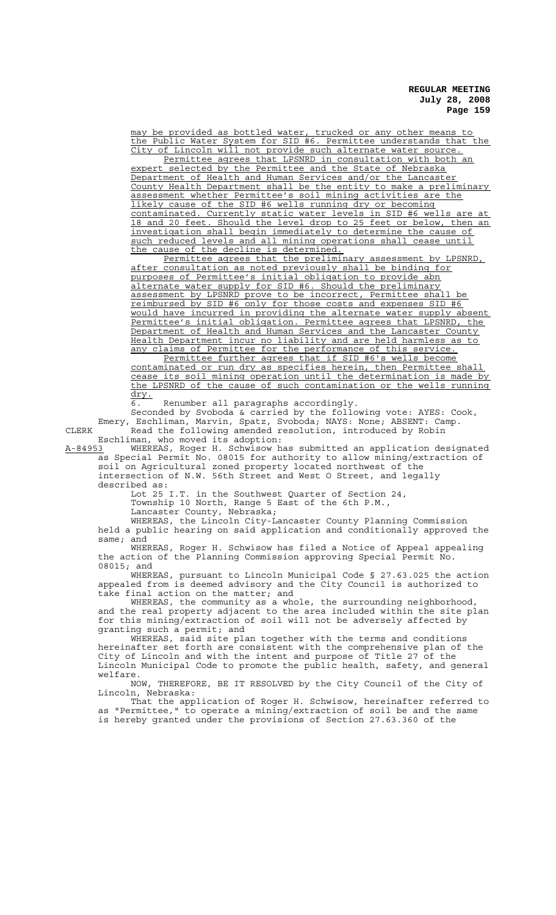may be provided as bottled water, trucked or any other means to the Public Water System for SID #6. Permittee understands that the City of Lincoln will not provide such alternate water source.

Permittee agrees that LPSNRD in consultation with both an expert selected by the Permittee and the State of Nebraska Department of Health and Human Services and/or the Lancaster County Health Department shall be the entity to make a preliminary assessment whether Permittee's soil mining activities are the likely cause of the SID #6 wells running dry or becoming contaminated. Currently static water levels in SID #6 wells are at 18 and 20 feet. Should the level drop to 25 feet or below, then an investigation shall begin immediately to determine the cause of immediately to determine the cause of such reduced levels and all mining operations shall cease until the cause of the decline is determined.

Permittee agrees that the preliminary assessment by LPSNRD, after consultation as noted previously shall be binding for purposes of Permittee's initial obligation to provide abn alternate water supply for SID #6. Should the preliminary assessment by LPSNRD prove to be incorrect, Permittee shall be reimbursed by SID #6 only for those costs and expenses SID #6 would have incurred in providing the alternate water supply absent Permittee's initial obligation. Permittee agrees that LPSNRD, the Department of Health and Human Services and the Lancaster County Health Department incur no liability and are held harmless as to any claims of Permittee for the performance of this service.

Permittee further agrees that if SID #6's wells become contaminated or run dry as specifies herein, then Permittee shall cease its soil mining operation until the determination is made by the LPSNRD of the cause of such contamination or the wells running dry.

6. Renumber all paragraphs accordingly.

Seconded by Svoboda & carried by the following vote: AYES: Cook, Emery, Eschliman, Marvin, Spatz, Svoboda; NAYS: None; ABSENT: Camp. CLERK Read the following amended resolution, introduced by Robin Eschliman, who moved its adoption:<br>A-84953 WHEREAS, Roger H. Schwisow ha

A-84953 WHEREAS, Roger H. Schwisow has submitted an application designated as Special Permit No. 08015 for authority to allow mining/extraction of soil on Agricultural zoned property located northwest of the intersection of N.W. 56th Street and West O Street, and legally

described as:

Lot 25 I.T. in the Southwest Quarter of Section 24, Township 10 North, Range 5 East of the 6th P.M.,

Lancaster County, Nebraska;

WHEREAS, the Lincoln City-Lancaster County Planning Commission held a public hearing on said application and conditionally approved the same; and

WHEREAS, Roger H. Schwisow has filed a Notice of Appeal appealing the action of the Planning Commission approving Special Permit No. 08015; and

WHEREAS, pursuant to Lincoln Municipal Code § 27.63.025 the action appealed from is deemed advisory and the City Council is authorized to take final action on the matter; and

WHEREAS, the community as a whole, the surrounding neighborhood, and the real property adjacent to the area included within the site plan for this mining/extraction of soil will not be adversely affected by granting such a permit; and

WHEREAS, said site plan together with the terms and conditions hereinafter set forth are consistent with the comprehensive plan of the City of Lincoln and with the intent and purpose of Title 27 of the Lincoln Municipal Code to promote the public health, safety, and general welfare.

NOW, THEREFORE, BE IT RESOLVED by the City Council of the City of Lincoln, Nebraska:

That the application of Roger H. Schwisow, hereinafter referred to as "Permittee," to operate a mining/extraction of soil be and the same is hereby granted under the provisions of Section 27.63.360 of the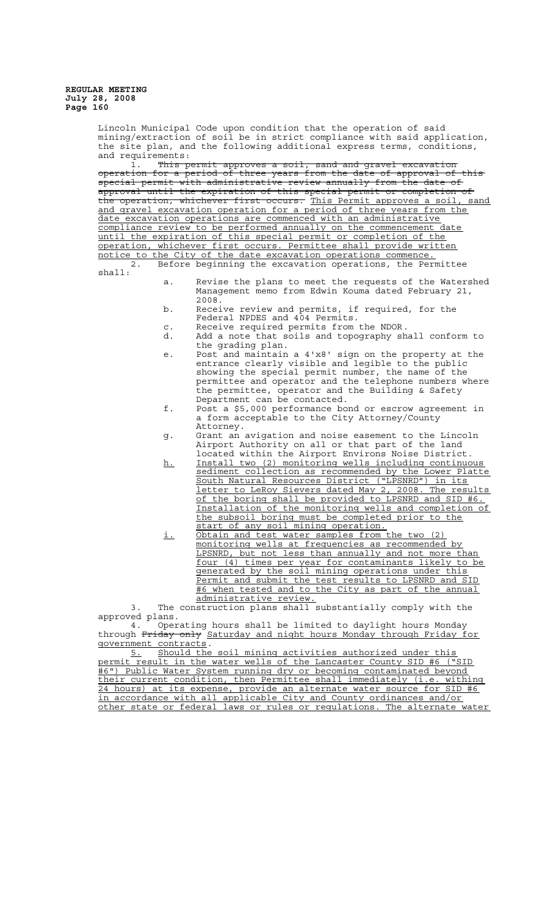Lincoln Municipal Code upon condition that the operation of said mining/extraction of soil be in strict compliance with said application, the site plan, and the following additional express terms, conditions, and requirements:

1. This permit approves a soil, sand and gravel excavation operation for a period of three years from the date of approval of this special permit with administrative review annually from the date of approval until the expiration of this special permit or completion of the operation, whichever first occurs. This Permit approves a soil, sand and gravel excavation operation for a period of three years from the date excavation operations are commenced with an administrative compliance review to be performed annually on the commencement date until the expiration of this special permit or completion of the operation, whichever first occurs. Permittee shall provide written

notice to the City of the date excavation operations commence.<br>2. Before beginning the excavation operations, the Per Before beginning the excavation operations, the Permittee

- shall:
- a. Revise the plans to meet the requests of the Watershed Management memo from Edwin Kouma dated February 21, 2008.
- b. Receive review and permits, if required, for the Federal NPDES and 404 Permits.
- c. Receive required permits from the NDOR.
- d. Add a note that soils and topography shall conform to the grading plan.
- e. Post and maintain a 4'x8' sign on the property at the entrance clearly visible and legible to the public showing the special permit number, the name of the permittee and operator and the telephone numbers where the permittee, operator and the Building & Safety Department can be contacted.
- f. Post a \$5,000 performance bond or escrow agreement in a form acceptable to the City Attorney/County Attorney.
- g. Grant an avigation and noise easement to the Lincoln Airport Authority on all or that part of the land located within the Airport Environs Noise District.
- h. Install two (2) monitoring wells including continuous sediment collection as recommended by the Lower Platte South Natural Resources District ("LPSNRD") in its letter to LeRoy Sievers dated May 2, 2008. The results of the boring shall be provided to LPSNRD and SID #6. Installation of the monitoring wells and completion of the subsoil boring must be completed prior to the start of any soil mining operation.
- i. Obtain and test water samples from the two (2) monitoring wells at frequencies as recommended by LPSNRD, but not less than annually and not more than four (4) times per year for contaminants likely to be generated by the soil mining operations under this Permit and submit the test results to LPSNRD and SID #6 when tested and to the City as part of the annual administrative review.

3. The construction plans shall substantially comply with the approved plans.<br>4. Oper

Operating hours shall be limited to daylight hours Monday through Friday only Saturday and night hours Monday through Friday for government contracts.

5. Should the soil mining activities authorized under this permit result in the water wells of the Lancaster County SID #6 ("SID #6") Public Water System running dry or becoming contaminated beyond their current condition, then Permittee shall immediately (i.e. withing 24 hours) at its expense, provide an alternate water source for SID #6 in accordance with all applicable City and County ordinances and/or other state or federal laws or rules or regulations. The alternate water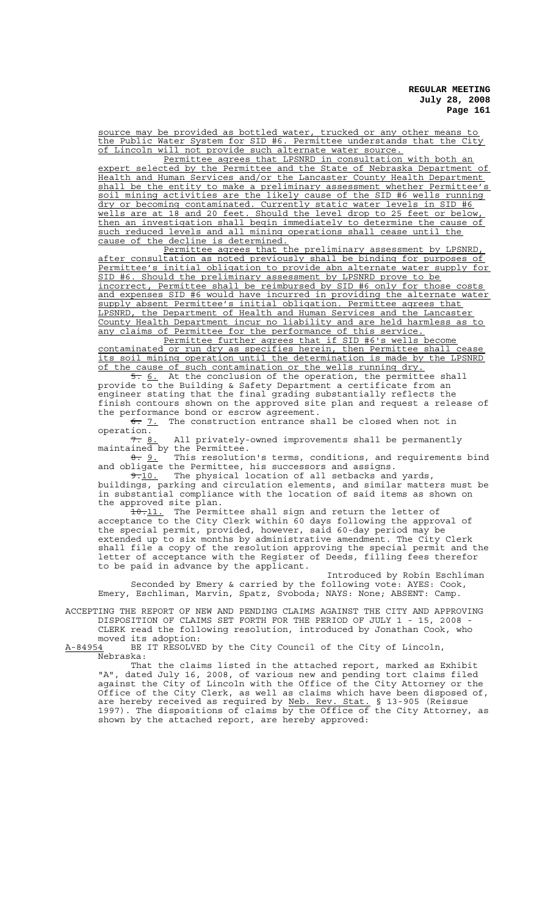source may be provided as bottled water, trucked or any other means to the Public Water System for SID #6. Permittee understands that the City of Lincoln will not provide such alternate water source.

Permittee agrees that LPSNRD in consultation with both an expert selected by the Permittee and the State of Nebraska Department of Health and Human Services and/or the Lancaster County Health Department shall be the entity to make a preliminary assessment whether Permittee's soil mining activities are the likely cause of the SID #6 wells running dry or becoming contaminated. Currently static water levels in SID #6 wells are at 18 and 20 feet. Should the level drop to 25 feet or below, then an investigation shall begin immediately to determine the cause of such reduced levels and all mining operations shall cease until the cause of the decline is determined.

Permittee agrees that the preliminary assessment by LPSNRD, after consultation as noted previously shall be binding for purposes of Permittee's initial obligation to provide abn alternate water supply for SID #6. Should the preliminary assessment by LPSNRD prove to be incorrect, Permittee shall be reimbursed by SID #6 only for those costs and expenses SID #6 would have incurred in providing the alternate water supply absent Permittee's initial obligation. Permittee agrees that LPSNRD, the Department of Health and Human Services and the Lancaster County Health Department incur no liability and are held harmless as to any claims of Permittee for the performance of this service.

Permittee further agrees that if SID #6's wells become contaminated or run dry as specifies herein, then Permittee shall cease its soil mining operation until the determination is made by the LPSNRD of the cause of such contamination or the wells running dry.

5. 6. At the conclusion of the operation, the permittee shall provide to the Building & Safety Department a certificate from an engineer stating that the final grading substantially reflects the finish contours shown on the approved site plan and request a release of the performance bond or escrow agreement.

 $\overline{6: 7.}$  The construction entrance shall be closed when not in operation.

7. 8. All privately-owned improvements shall be permanently maintained by the Permittee.

 $\frac{0}{0}$ . This resolution's terms, conditions, and requirements bind and obligate the Permittee, his successors and assigns.

9.10. The physical location of all setbacks and yards, buildings, parking and circulation elements, and similar matters must be in substantial compliance with the location of said items as shown on the approved site plan.

10.11. The Permittee shall sign and return the letter of acceptance to the City Clerk within 60 days following the approval of the special permit, provided, however, said 60-day period may be extended up to six months by administrative amendment. The City Clerk shall file a copy of the resolution approving the special permit and the letter of acceptance with the Register of Deeds, filling fees therefor to be paid in advance by the applicant.

Introduced by Robin Eschliman Seconded by Emery & carried by the following vote: AYES: Cook, Emery, Eschliman, Marvin, Spatz, Svoboda; NAYS: None; ABSENT: Camp.

ACCEPTING THE REPORT OF NEW AND PENDING CLAIMS AGAINST THE CITY AND APPROVING DISPOSITION OF CLAIMS SET FORTH FOR THE PERIOD OF JULY 1 - 15, 2008 - CLERK read the following resolution, introduced by Jonathan Cook, who

moved its adoption:<br>A-84954 BE IT RESOLVE BE IT RESOLVED by the City Council of the City of Lincoln, <u>-</u><br>Nebraska:

That the claims listed in the attached report, marked as Exhibit "A", dated July 16, 2008, of various new and pending tort claims filed against the City of Lincoln with the Office of the City Attorney or the Office of the City Clerk, as well as claims which have been disposed of, are hereby received as required by Neb. Rev. Stat. § 13-905 (Reissue 1997). The dispositions of claims by the Office of the City Attorney, as shown by the attached report, are hereby approved: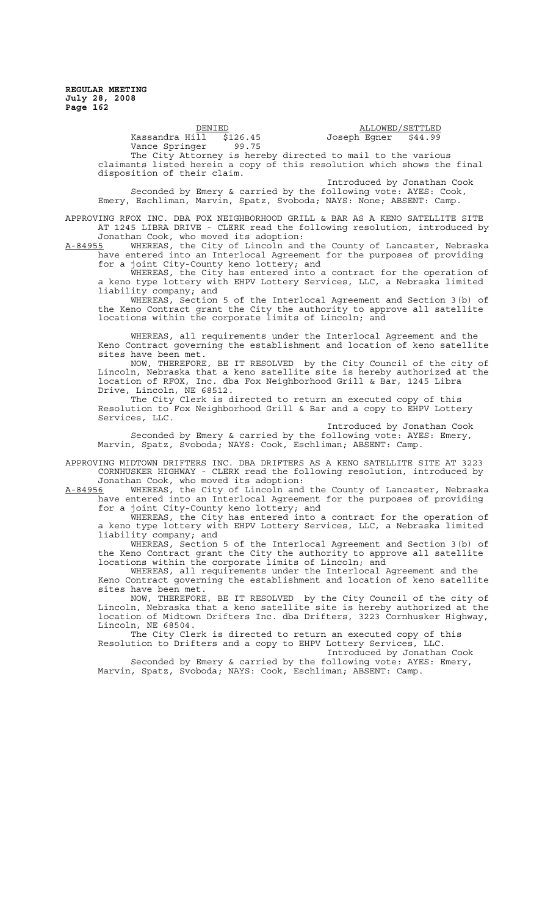> $\begin{tabular}{l} \underline{\text{DENIED}}\\ 11 & \$126.45 \\ \end{tabular} \begin{tabular}{l} \underline{\text{DENIED}}\\ \underline{\text{ALLOWED}}/\underline{\text{SETTLED}}\\ \end{tabular}$ Kassandra Hi $\overline{11}$  \$126.45 Joseph Egner \$44.99<br>Vance Springer 99.75 Vance Springer The City Attorney is hereby directed to mail to the various claimants listed herein a copy of this resolution which shows the final disposition of their claim. Introduced by Jonathan Cook

Seconded by Emery & carried by the following vote: AYES: Cook, Emery, Eschliman, Marvin, Spatz, Svoboda; NAYS: None; ABSENT: Camp.

APPROVING RFOX INC. DBA FOX NEIGHBORHOOD GRILL & BAR AS A KENO SATELLITE SITE AT 1245 LIBRA DRIVE - CLERK read the following resolution, introduced by Jonathan Cook, who moved its adoption:

A-84955 MHEREAS, the City of Lincoln and the County of Lancaster, Nebraska have entered into an Interlocal Agreement for the purposes of providing for a joint City-County keno lottery; and

WHEREAS, the City has entered into a contract for the operation of a keno type lottery with EHPV Lottery Services, LLC, a Nebraska limited liability company; and

WHEREAS, Section 5 of the Interlocal Agreement and Section 3(b) of the Keno Contract grant the City the authority to approve all satellite locations within the corporate limits of Lincoln; and

WHEREAS, all requirements under the Interlocal Agreement and the Keno Contract governing the establishment and location of keno satellite sites have been met.

NOW, THEREFORE, BE IT RESOLVED by the City Council of the city of Lincoln, Nebraska that a keno satellite site is hereby authorized at the location of RFOX, Inc. dba Fox Neighborhood Grill & Bar, 1245 Libra Drive, Lincoln, NE 68512.

The City Clerk is directed to return an executed copy of this Resolution to Fox Neighborhood Grill & Bar and a copy to EHPV Lottery Services, LLC.

Introduced by Jonathan Cook Seconded by Emery & carried by the following vote: AYES: Emery, Marvin, Spatz, Svoboda; NAYS: Cook, Eschliman; ABSENT: Camp.

APPROVING MIDTOWN DRIFTERS INC. DBA DRIFTERS AS A KENO SATELLITE SITE AT 3223 CORNHUSKER HIGHWAY - CLERK read the following resolution, introduced by Jonathan Cook, who moved its adoption:

A-84956 WHEREAS, the City of Lincoln and the County of Lancaster, Nebraska have entered into an Interlocal Agreement for the purposes of providing for a joint City-County keno lottery; and

WHEREAS, the City has entered into a contract for the operation of a keno type lottery with EHPV Lottery Services, LLC, a Nebraska limited liability company; and

WHEREAS, Section 5 of the Interlocal Agreement and Section 3(b) of the Keno Contract grant the City the authority to approve all satellite locations within the corporate limits of Lincoln; and

WHEREAS, all requirements under the Interlocal Agreement and the Keno Contract governing the establishment and location of keno satellite sites have been met.

NOW, THEREFORE, BE IT RESOLVED by the City Council of the city of Lincoln, Nebraska that a keno satellite site is hereby authorized at the location of Midtown Drifters Inc. dba Drifters, 3223 Cornhusker Highway, Lincoln, NE 68504.

The City Clerk is directed to return an executed copy of this Resolution to Drifters and a copy to EHPV Lottery Services, LLC.

Introduced by Jonathan Cook Seconded by Emery & carried by the following vote: AYES: Emery, Marvin, Spatz, Svoboda; NAYS: Cook, Eschliman; ABSENT: Camp.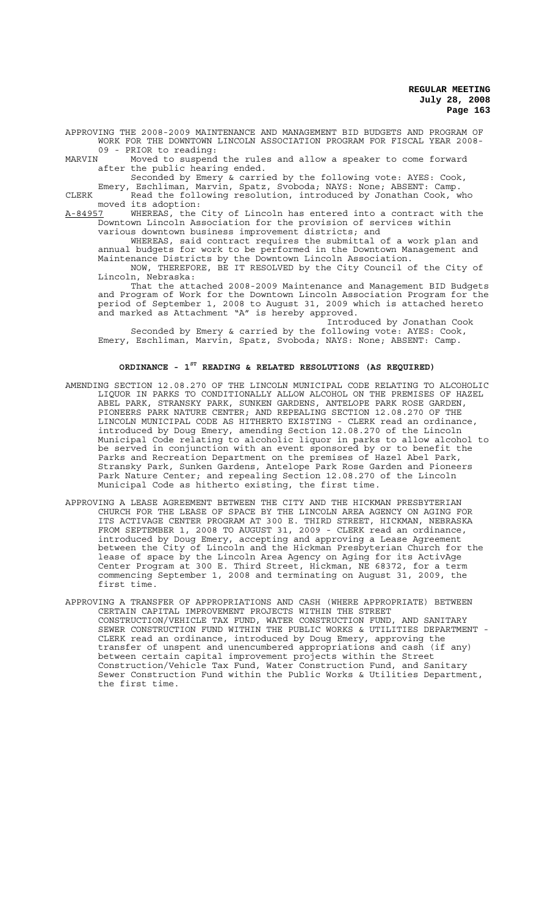APPROVING THE 2008-2009 MAINTENANCE AND MANAGEMENT BID BUDGETS AND PROGRAM OF WORK FOR THE DOWNTOWN LINCOLN ASSOCIATION PROGRAM FOR FISCAL YEAR 2008- 09 - PRIOR to reading:<br>MARVIN Moved to suspend

Moved to suspend the rules and allow a speaker to come forward after the public hearing ended.

Seconded by Emery & carried by the following vote: AYES: Cook,

Emery, Eschliman, Marvin, Spatz, Svoboda; NAYS: None; ABSENT: Camp. CLERK **Read the following resolution, introduced by Jonathan Cook, who** moved its adoption:<br>A-84957 WHEREAS, the

A-84957 WHEREAS, the City of Lincoln has entered into a contract with the Downtown Lincoln Association for the provision of services within various downtown business improvement districts; and

WHEREAS, said contract requires the submittal of a work plan and annual budgets for work to be performed in the Downtown Management and Maintenance Districts by the Downtown Lincoln Association.

NOW, THEREFORE, BE IT RESOLVED by the City Council of the City of Lincoln, Nebraska:

That the attached 2008-2009 Maintenance and Management BID Budgets and Program of Work for the Downtown Lincoln Association Program for the period of September 1, 2008 to August 31, 2009 which is attached hereto and marked as Attachment "A" is hereby approved.

Introduced by Jonathan Cook Seconded by Emery & carried by the following vote: AYES: Cook, Emery, Eschliman, Marvin, Spatz, Svoboda; NAYS: None; ABSENT: Camp.

#### **ORDINANCE - 1ST READING & RELATED RESOLUTIONS (AS REQUIRED)**

- AMENDING SECTION 12.08.270 OF THE LINCOLN MUNICIPAL CODE RELATING TO ALCOHOLIC LIQUOR IN PARKS TO CONDITIONALLY ALLOW ALCOHOL ON THE PREMISES OF HAZEL ABEL PARK, STRANSKY PARK, SUNKEN GARDENS, ANTELOPE PARK ROSE GARDEN, PIONEERS PARK NATURE CENTER; AND REPEALING SECTION 12.08.270 OF THE LINCOLN MUNICIPAL CODE AS HITHERTO EXISTING - CLERK read an ordinance, introduced by Doug Emery, amending Section 12.08.270 of the Lincoln Municipal Code relating to alcoholic liquor in parks to allow alcohol to be served in conjunction with an event sponsored by or to benefit the Parks and Recreation Department on the premises of Hazel Abel Park, Stransky Park, Sunken Gardens, Antelope Park Rose Garden and Pioneers Park Nature Center; and repealing Section 12.08.270 of the Lincoln Municipal Code as hitherto existing, the first time.
- APPROVING A LEASE AGREEMENT BETWEEN THE CITY AND THE HICKMAN PRESBYTERIAN CHURCH FOR THE LEASE OF SPACE BY THE LINCOLN AREA AGENCY ON AGING FOR ITS ACTIVAGE CENTER PROGRAM AT 300 E. THIRD STREET, HICKMAN, NEBRASKA FROM SEPTEMBER 1, 2008 TO AUGUST 31, 2009 - CLERK read an ordinance, introduced by Doug Emery, accepting and approving a Lease Agreement between the City of Lincoln and the Hickman Presbyterian Church for the lease of space by the Lincoln Area Agency on Aging for its ActivAge Center Program at 300 E. Third Street, Hickman, NE 68372, for a term commencing September 1, 2008 and terminating on August 31, 2009, the first time.
- APPROVING A TRANSFER OF APPROPRIATIONS AND CASH (WHERE APPROPRIATE) BETWEEN CERTAIN CAPITAL IMPROVEMENT PROJECTS WITHIN THE STREET CONSTRUCTION/VEHICLE TAX FUND, WATER CONSTRUCTION FUND, AND SANITARY SEWER CONSTRUCTION FUND WITHIN THE PUBLIC WORKS & UTILITIES DEPARTMENT - CLERK read an ordinance, introduced by Doug Emery, approving the transfer of unspent and unencumbered appropriations and cash (if any) between certain capital improvement projects within the Street Construction/Vehicle Tax Fund, Water Construction Fund, and Sanitary Sewer Construction Fund within the Public Works & Utilities Department, the first time.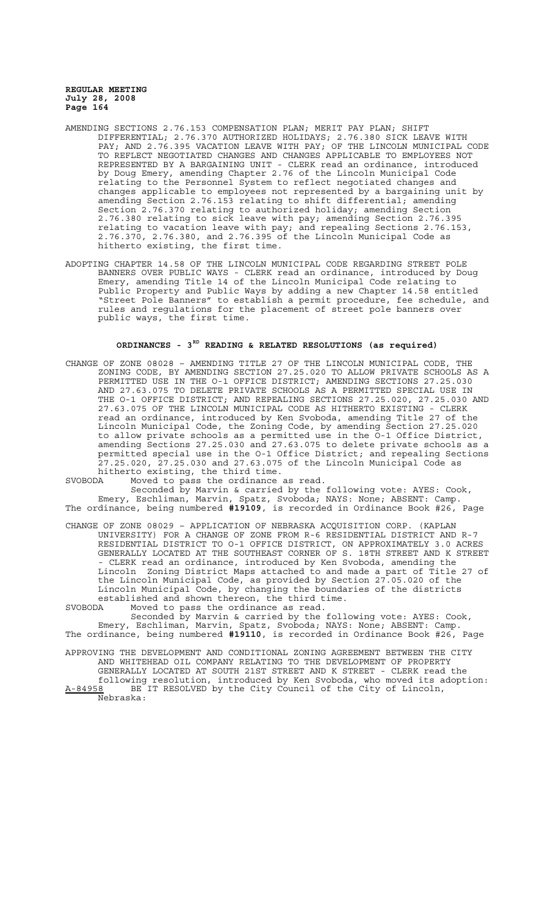- AMENDING SECTIONS 2.76.153 COMPENSATION PLAN; MERIT PAY PLAN; SHIFT DIFFERENTIAL; 2.76.370 AUTHORIZED HOLIDAYS; 2.76.380 SICK LEAVE WITH PAY; AND 2.76.395 VACATION LEAVE WITH PAY; OF THE LINCOLN MUNICIPAL CODE TO REFLECT NEGOTIATED CHANGES AND CHANGES APPLICABLE TO EMPLOYEES NOT REPRESENTED BY A BARGAINING UNIT - CLERK read an ordinance, introduced by Doug Emery, amending Chapter 2.76 of the Lincoln Municipal Code relating to the Personnel System to reflect negotiated changes and changes applicable to employees not represented by a bargaining unit by amending Section 2.76.153 relating to shift differential; amending Section 2.76.370 relating to authorized holiday; amending Section 2.76.380 relating to sick leave with pay; amending Section 2.76.395 relating to vacation leave with pay; and repealing Sections 2.76.153, 2.76.370, 2.76.380, and 2.76.395 of the Lincoln Municipal Code as hitherto existing, the first time.
- ADOPTING CHAPTER 14.58 OF THE LINCOLN MUNICIPAL CODE REGARDING STREET POLE BANNERS OVER PUBLIC WAYS - CLERK read an ordinance, introduced by Doug Emery, amending Title 14 of the Lincoln Municipal Code relating to Public Property and Public Ways by adding a new Chapter 14.58 entitled "Street Pole Banners" to establish a permit procedure, fee schedule, and rules and regulations for the placement of street pole banners over public ways, the first time.

# **ORDINANCES - 3RD READING & RELATED RESOLUTIONS (as required)**

CHANGE OF ZONE 08028 – AMENDING TITLE 27 OF THE LINCOLN MUNICIPAL CODE, THE ZONING CODE, BY AMENDING SECTION 27.25.020 TO ALLOW PRIVATE SCHOOLS AS A PERMITTED USE IN THE O-1 OFFICE DISTRICT; AMENDING SECTIONS 27.25.030 AND 27.63.075 TO DELETE PRIVATE SCHOOLS AS A PERMITTED SPECIAL USE IN THE O-1 OFFICE DISTRICT; AND REPEALING SECTIONS 27.25.020, 27.25.030 AND 27.63.075 OF THE LINCOLN MUNICIPAL CODE AS HITHERTO EXISTING - CLERK read an ordinance, introduced by Ken Svoboda, amending Title 27 of the Lincoln Municipal Code, the Zoning Code, by amending Section 27.25.020 to allow private schools as a permitted use in the O-1 Office District, amending Sections 27.25.030 and 27.63.075 to delete private schools as a permitted special use in the O-1 Office District; and repealing Sections 27.25.020, 27.25.030 and 27.63.075 of the Lincoln Municipal Code as hitherto existing, the third time.

SVOBODA Moved to pass the ordinance as read. Seconded by Marvin & carried by the following vote: AYES: Cook, Emery, Eschliman, Marvin, Spatz, Svoboda; NAYS: None; ABSENT: Camp. The ordinance, being numbered **#19109**, is recorded in Ordinance Book #26, Page

CHANGE OF ZONE 08029 – APPLICATION OF NEBRASKA ACQUISITION CORP. (KAPLAN UNIVERSITY) FOR A CHANGE OF ZONE FROM R-6 RESIDENTIAL DISTRICT AND R-7 RESIDENTIAL DISTRICT TO O-1 OFFICE DISTRICT, ON APPROXIMATELY 3.0 ACRES GENERALLY LOCATED AT THE SOUTHEAST CORNER OF S. 18TH STREET AND K STREET - CLERK read an ordinance, introduced by Ken Svoboda, amending the Lincoln Zoning District Maps attached to and made a part of Title 27 of the Lincoln Municipal Code, as provided by Section 27.05.020 of the Lincoln Municipal Code, by changing the boundaries of the districts established and shown thereon, the third time.

SVOBODA Moved to pass the ordinance as read.

Seconded by Marvin & carried by the following vote: AYES: Cook, Emery, Eschliman, Marvin, Spatz, Svoboda; NAYS: None; ABSENT: Camp. The ordinance, being numbered **#19110**, is recorded in Ordinance Book #26, Page

APPROVING THE DEVELOPMENT AND CONDITIONAL ZONING AGREEMENT BETWEEN THE CITY AND WHITEHEAD OIL COMPANY RELATING TO THE DEVELOPMENT OF PROPERTY GENERALLY LOCATED AT SOUTH 21ST STREET AND K STREET - CLERK read the following resolution, introduced by Ken Svoboda, who moved its adoption: A-84958 BE IT RESOLVED by the City Council of the City of Lincoln,  $A-84958$  BE<br>Nebraska: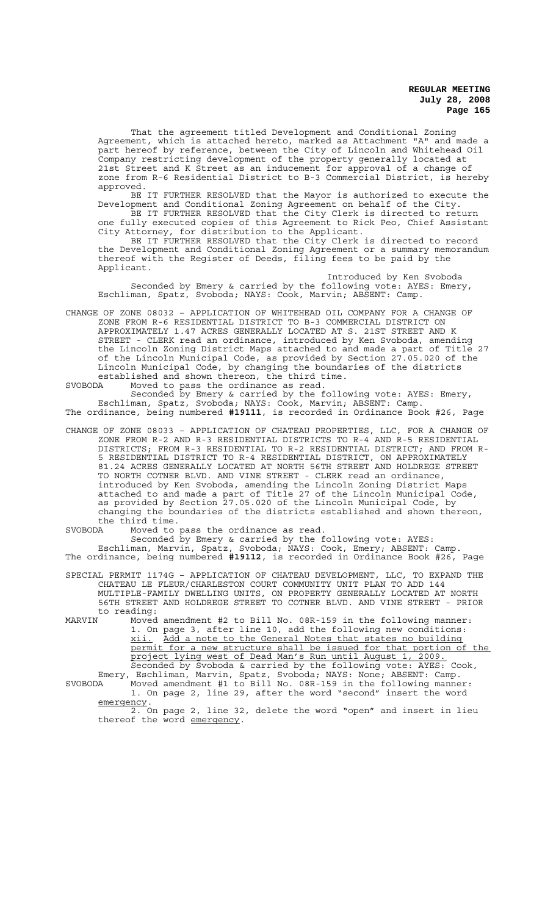That the agreement titled Development and Conditional Zoning Agreement, which is attached hereto, marked as Attachment "A" and made a part hereof by reference, between the City of Lincoln and Whitehead Oil Company restricting development of the property generally located at 21st Street and K Street as an inducement for approval of a change of zone from R-6 Residential District to B-3 Commercial District, is hereby approved.

BE IT FURTHER RESOLVED that the Mayor is authorized to execute the Development and Conditional Zoning Agreement on behalf of the City.

BE IT FURTHER RESOLVED that the City Clerk is directed to return one fully executed copies of this Agreement to Rick Peo, Chief Assistant City Attorney, for distribution to the Applicant.

BE IT FURTHER RESOLVED that the City Clerk is directed to record the Development and Conditional Zoning Agreement or a summary memorandum thereof with the Register of Deeds, filing fees to be paid by the Applicant.

Introduced by Ken Svoboda Seconded by Emery & carried by the following vote: AYES: Emery, Eschliman, Spatz, Svoboda; NAYS: Cook, Marvin; ABSENT: Camp.

CHANGE OF ZONE 08032 – APPLICATION OF WHITEHEAD OIL COMPANY FOR A CHANGE OF ZONE FROM R-6 RESIDENTIAL DISTRICT TO B-3 COMMERCIAL DISTRICT ON APPROXIMATELY 1.47 ACRES GENERALLY LOCATED AT S. 21ST STREET AND K STREET - CLERK read an ordinance, introduced by Ken Svoboda, amending the Lincoln Zoning District Maps attached to and made a part of Title 27 of the Lincoln Municipal Code, as provided by Section 27.05.020 of the Lincoln Municipal Code, by changing the boundaries of the districts established and shown thereon, the third time.

SVOBODA Moved to pass the ordinance as read. Seconded by Emery & carried by the following vote: AYES: Emery, Eschliman, Spatz, Svoboda; NAYS: Cook, Marvin; ABSENT: Camp. The ordinance, being numbered **#19111**, is recorded in Ordinance Book #26, Page

CHANGE OF ZONE 08033 – APPLICATION OF CHATEAU PROPERTIES, LLC, FOR A CHANGE OF ZONE FROM R-2 AND R-3 RESIDENTIAL DISTRICTS TO R-4 AND R-5 RESIDENTIAL DISTRICTS; FROM R-3 RESIDENTIAL TO R-2 RESIDENTIAL DISTRICT; AND FROM R-5 RESIDENTIAL DISTRICT TO R-4 RESIDENTIAL DISTRICT, ON APPROXIMATELY 81.24 ACRES GENERALLY LOCATED AT NORTH 56TH STREET AND HOLDREGE STREET TO NORTH COTNER BLVD. AND VINE STREET - CLERK read an ordinance, introduced by Ken Svoboda, amending the Lincoln Zoning District Maps attached to and made a part of Title 27 of the Lincoln Municipal Code, as provided by Section 27.05.020 of the Lincoln Municipal Code, by changing the boundaries of the districts established and shown thereon, the third time.

SVOBODA Moved to pass the ordinance as read.

Seconded by Emery & carried by the following vote: AYES: Eschliman, Marvin, Spatz, Svoboda; NAYS: Cook, Emery; ABSENT: Camp.

The ordinance, being numbered **#19112**, is recorded in Ordinance Book #26, Page

SPECIAL PERMIT 1174G – APPLICATION OF CHATEAU DEVELOPMENT, LLC, TO EXPAND THE CHATEAU LE FLEUR/CHARLESTON COURT COMMUNITY UNIT PLAN TO ADD 144 MULTIPLE-FAMILY DWELLING UNITS, ON PROPERTY GENERALLY LOCATED AT NORTH 56TH STREET AND HOLDREGE STREET TO COTNER BLVD. AND VINE STREET - PRIOR to reading:<br>MARVIN Moved

Moved amendment #2 to Bill No. 08R-159 in the following manner: 1. On page 3, after line 10, add the following new conditions:<br>xii. Add a note to the General Notes that states no building Add a note to the General Notes that states no building permit for a new structure shall be issued for that portion of the project lying west of Dead Man's Run until August 1, 2009. Seconded by Svoboda & carried by the following vote: AYES: Cook, Emery, Eschliman, Marvin, Spatz, Svoboda; NAYS: None; ABSENT: Camp. SVOBODA Moved amendment #1 to Bill No. 08R-159 in the following manner:

1. On page 2, line 29, after the word "second" insert the word emergency.

2. On page 2, line 32, delete the word "open" and insert in lieu thereof the word emergency.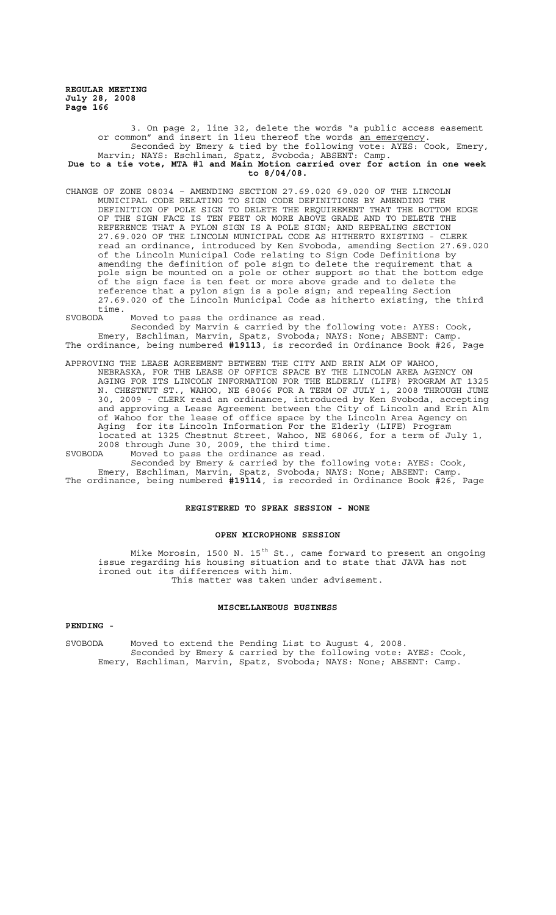3. On page 2, line 32, delete the words "a public access easement or common" and insert in lieu thereof the words an emergency. Seconded by Emery & tied by the following vote: AYES: Cook, Emery, Marvin; NAYS: Eschliman, Spatz, Svoboda; ABSENT: Camp. **Due to a tie vote, MTA #1 and Main Motion carried over for action in one week to 8/04/08.**

- CHANGE OF ZONE 08034 AMENDING SECTION 27.69.020 69.020 OF THE LINCOLN MUNICIPAL CODE RELATING TO SIGN CODE DEFINITIONS BY AMENDING THE DEFINITION OF POLE SIGN TO DELETE THE REQUIREMENT THAT THE BOTTOM EDGE OF THE SIGN FACE IS TEN FEET OR MORE ABOVE GRADE AND TO DELETE THE REFERENCE THAT A PYLON SIGN IS A POLE SIGN; AND REPEALING SECTION 27.69.020 OF THE LINCOLN MUNICIPAL CODE AS HITHERTO EXISTING - CLERK read an ordinance, introduced by Ken Svoboda, amending Section 27.69.020 of the Lincoln Municipal Code relating to Sign Code Definitions by amending the definition of pole sign to delete the requirement that a pole sign be mounted on a pole or other support so that the bottom edge of the sign face is ten feet or more above grade and to delete the reference that a pylon sign is a pole sign; and repealing Section 27.69.020 of the Lincoln Municipal Code as hitherto existing, the third time.
- SVOBODA Moved to pass the ordinance as read.

Seconded by Marvin & carried by the following vote: AYES: Cook, Emery, Eschliman, Marvin, Spatz, Svoboda; NAYS: None; ABSENT: Camp. The ordinance, being numbered **#19113**, is recorded in Ordinance Book #26, Page

APPROVING THE LEASE AGREEMENT BETWEEN THE CITY AND ERIN ALM OF WAHOO, NEBRASKA, FOR THE LEASE OF OFFICE SPACE BY THE LINCOLN AREA AGENCY ON AGING FOR ITS LINCOLN INFORMATION FOR THE ELDERLY (LIFE) PROGRAM AT 1325 N. CHESTNUT ST., WAHOO, NE 68066 FOR A TERM OF JULY 1, 2008 THROUGH JUNE 30, 2009 - CLERK read an ordinance, introduced by Ken Svoboda, accepting and approving a Lease Agreement between the City of Lincoln and Erin Alm of Wahoo for the lease of office space by the Lincoln Area Agency on Aging for its Lincoln Information For the Elderly (LIFE) Program located at 1325 Chestnut Street, Wahoo, NE 68066, for a term of July 1, 2008 through June 30, 2009, the third time.

SVOBODA Moved to pass the ordinance as read.

Seconded by Emery & carried by the following vote: AYES: Cook, Emery, Eschliman, Marvin, Spatz, Svoboda; NAYS: None; ABSENT: Camp. Emery, Eschliman, Marvin, Spatz, Svoboda; NAYS: None; ABSENT: Camp.<br>The ordinance, being numbered #19114, is recorded in Ordinance Book #26, Page

#### **REGISTERED TO SPEAK SESSION - NONE**

### **OPEN MICROPHONE SESSION**

Mike Morosin, 1500 N. 15<sup>th</sup> St., came forward to present an ongoing issue regarding his housing situation and to state that JAVA has not ironed out its differences with him. This matter was taken under advisement.

### **MISCELLANEOUS BUSINESS**

# **PENDING -**

SVOBODA Moved to extend the Pending List to August 4, 2008. Seconded by Emery & carried by the following vote: AYES: Cook, Emery, Eschliman, Marvin, Spatz, Svoboda; NAYS: None; ABSENT: Camp.